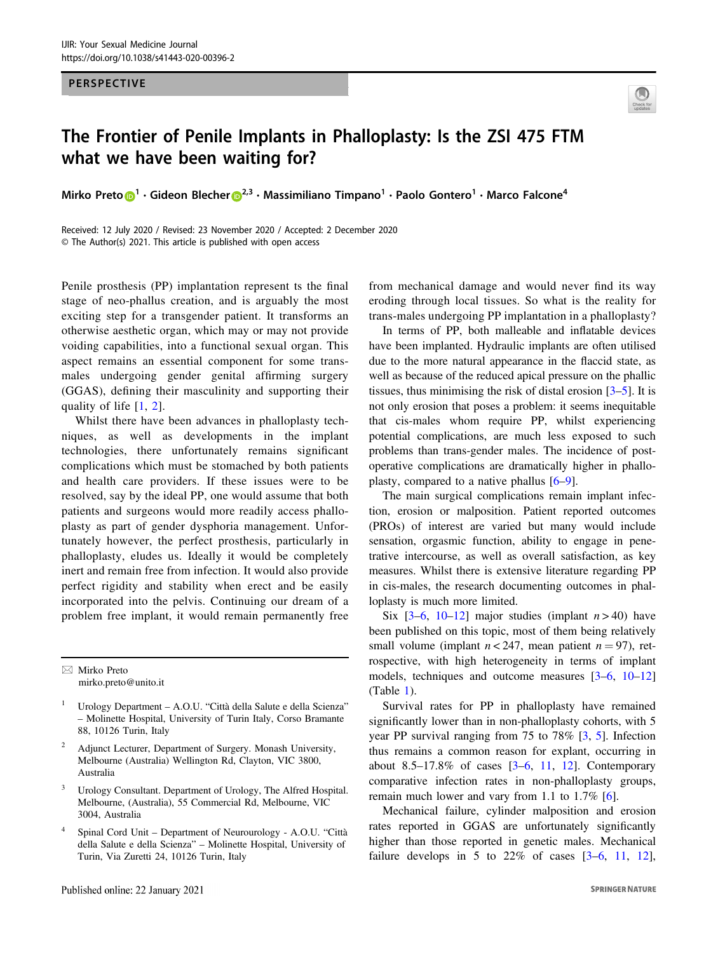PERSPECTIVE



## what we have been waiting for? where  $\mathbf{w}$

Mirk[o](http://orcid.org/0000-0002-8144-6498) Preto $\bigcirc$ <sup>[1](http://orcid.org/0000-0002-8144-6498)</sup> • Gideon Blecher $\bigcirc^{2,3}$  $\bigcirc^{2,3}$  $\bigcirc^{2,3}$  • Massimiliano Timpano<sup>1</sup> • Paolo Gontero<sup>1</sup> • Marco Falcone<sup>4</sup>

Received: 12 July 2020 / Revised: 23 November 2020 / Accepted: 2 December 2020 © The Author(s) 2021. This article is published with open access

Penile prosthesis (PP) implantation represent ts the final stage of neo-phallus creation, and is arguably the most exciting step for a transgender patient. It transforms an otherwise aesthetic organ, which may or may not provide voiding capabilities, into a functional sexual organ. This aspect remains an essential component for some transmales undergoing gender genital affirming surgery (GGAS), defining their masculinity and supporting their quality of life [[1](#page-3-0), [2](#page-3-0)].

Whilst there have been advances in phalloplasty techniques, as well as developments in the implant technologies, there unfortunately remains significant complications which must be stomached by both patients and health care providers. If these issues were to be resolved, say by the ideal PP, one would assume that both patients and surgeons would more readily access phalloplasty as part of gender dysphoria management. Unfortunately however, the perfect prosthesis, particularly in phalloplasty, eludes us. Ideally it would be completely inert and remain free from infection. It would also provide perfect rigidity and stability when erect and be easily incorporated into the pelvis. Continuing our dream of a problem free implant, it would remain permanently free

 $\boxtimes$  Mirko Preto [mirko.preto@unito.it](mailto:mirko.preto@unito.it)

- Adjunct Lecturer, Department of Surgery. Monash University, Melbourne (Australia) Wellington Rd, Clayton, VIC 3800, Australia
- <sup>3</sup> Urology Consultant. Department of Urology, The Alfred Hospital. Melbourne, (Australia), 55 Commercial Rd, Melbourne, VIC 3004, Australia
- <sup>4</sup> Spinal Cord Unit Department of Neurourology A.O.U. "Città della Salute e della Scienza" – Molinette Hospital, University of Turin, Via Zuretti 24, 10126 Turin, Italy

from mechanical damage and would never find its way eroding through local tissues. So what is the reality for trans-males undergoing PP implantation in a phalloplasty?

In terms of PP, both malleable and inflatable devices have been implanted. Hydraulic implants are often utilised due to the more natural appearance in the flaccid state, as well as because of the reduced apical pressure on the phallic tissues, thus minimising the risk of distal erosion [[3](#page-3-0)–[5\]](#page-4-0). It is not only erosion that poses a problem: it seems inequitable that cis-males whom require PP, whilst experiencing potential complications, are much less exposed to such problems than trans-gender males. The incidence of postoperative complications are dramatically higher in phalloplasty, compared to a native phallus [\[6](#page-4-0)–[9](#page-4-0)].

The main surgical complications remain implant infection, erosion or malposition. Patient reported outcomes (PROs) of interest are varied but many would include sensation, orgasmic function, ability to engage in penetrative intercourse, as well as overall satisfaction, as key measures. Whilst there is extensive literature regarding PP in cis-males, the research documenting outcomes in phalloplasty is much more limited.

Six  $[3-6, 10-12]$  $[3-6, 10-12]$  $[3-6, 10-12]$  $[3-6, 10-12]$  $[3-6, 10-12]$  $[3-6, 10-12]$  $[3-6, 10-12]$  $[3-6, 10-12]$  $[3-6, 10-12]$  major studies (implant  $n > 40$ ) have been published on this topic, most of them being relatively small volume (implant  $n < 247$ , mean patient  $n = 97$ ), retrospective, with high heterogeneity in terms of implant models, techniques and outcome measures [[3](#page-3-0)–[6](#page-4-0), [10](#page-4-0)–[12](#page-4-0)] (Table [1](#page-1-0)).

Survival rates for PP in phalloplasty have remained significantly lower than in non-phalloplasty cohorts, with 5 year PP survival ranging from 75 to 78% [\[3](#page-3-0), [5](#page-4-0)]. Infection thus remains a common reason for explant, occurring in about 8.5–17.8% of cases [\[3](#page-3-0)–[6](#page-4-0), [11](#page-4-0), [12\]](#page-4-0). Contemporary comparative infection rates in non-phalloplasty groups, remain much lower and vary from 1.1 to 1.7% [\[6](#page-4-0)].

Mechanical failure, cylinder malposition and erosion rates reported in GGAS are unfortunately significantly higher than those reported in genetic males. Mechanical failure develops in 5 to  $22\%$  of cases  $[3-6, 11, 12]$  $[3-6, 11, 12]$  $[3-6, 11, 12]$  $[3-6, 11, 12]$  $[3-6, 11, 12]$  $[3-6, 11, 12]$  $[3-6, 11, 12]$ ,

<sup>1</sup> Urology Department – A.O.U. "Città della Salute e della Scienza" – Molinette Hospital, University of Turin Italy, Corso Bramante 88, 10126 Turin, Italy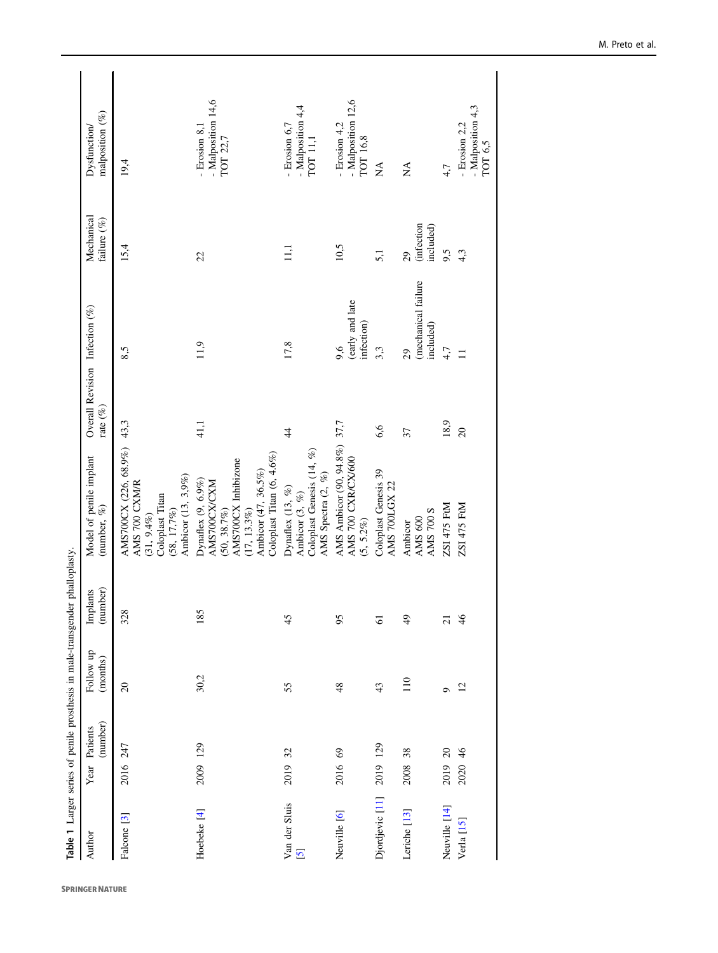<span id="page-1-0"></span>

|                                          |          |                           |                       | Table 1 Larger series of penile prosthesis in male-transgender phalloplasty. |                                                                                                                                                   |                                               |                                        |                                     |                                                 |
|------------------------------------------|----------|---------------------------|-----------------------|------------------------------------------------------------------------------|---------------------------------------------------------------------------------------------------------------------------------------------------|-----------------------------------------------|----------------------------------------|-------------------------------------|-------------------------------------------------|
| Author                                   |          | (number)<br>Year Patients | Follow up<br>(months) | (number)<br>ants<br><u>Fanl</u>                                              | Model of penile implant<br>(number, $\%$ )                                                                                                        | Overall Revision Infection (%)<br>rate $(\%)$ |                                        | Mechanical<br>failure $(\%)$        | malposition (%)<br>Dysfunction/                 |
| Falcone <sup>[3]</sup>                   | 2016 247 |                           | $\overline{c}$        | 328                                                                          | AMS700CX (226, 68.9%)<br>Ambicor (13, 3,9%)<br>AMS 700 CXM/R<br>Coloplast Titan<br>$(58, 17, 7\%)$<br>$(31, 9.4\%)$                               | 43,3                                          | 8,5                                    | 15,4                                | 19,4                                            |
| Hoebeke <sup>[4]</sup>                   | 2009 129 |                           | 30,2                  | 185                                                                          | Coloplast Titan (6, 4.6%)<br>AMS700CX Inhibizone<br>Ambicor (47, 36.5%)<br>Dynaflex (9, 6.9%)<br>AMS700CX/CXM<br>$(50, 38.7\%)$<br>$(17, 13.3\%)$ | 41,1                                          | 11,9                                   | 22                                  | - Malposition 14,6<br>Erosion 8.1<br>TOT 22,7   |
| Van der Sluis<br>$\overline{\mathbf{S}}$ | 2019     | 32                        | 55                    | 45                                                                           | Coloplast Genesis (14, %)<br>AMS Spectra (2, %)<br>Dynaflex $(13, \%)$<br>Ambicor $(3, \%)$                                                       | $\ddagger$                                    | 17,8                                   | $\Xi$                               | - Malposition 4,4<br>- Erosion 6,7<br>TOT 11,1  |
| Neuville [6]                             | 2016 69  |                           | 48                    | 95                                                                           | AMS Ambicor (90, 94.8%) 37,7<br>AMS 700 CXR/CX/600<br>$(5, 5.2\%)$                                                                                |                                               | (early and late<br>infection)<br>9,6   | $10,5$                              | - Malposition 12,6<br>- Erosion 4,2<br>ТОТ 16,8 |
| Djordjevic [11] 2019 129                 |          |                           | 43                    | $\overline{6}$                                                               | Coloplast Genesis 39<br>AMS 700LGX 22                                                                                                             | 6,6                                           | 3,3                                    | 5,1                                 | $\mathbb{A}^{\mathsf{A}}$                       |
| Leriche <sup>[13]</sup>                  | 2008     | 38                        | 110                   | $\overline{6}$                                                               | <b>AMS 700 S</b><br>AMS 600<br>Ambicor                                                                                                            | 37                                            | (mechanical failure<br>included)<br>29 | <i>infection</i><br>included)<br>29 | $\mathbb{X}^{\mathsf{A}}$                       |
| Neuville [14]                            | 2019 20  |                           | Ó                     | $\overline{c}$                                                               | ZSI 475 FtM                                                                                                                                       | 18,9                                          | 4,7                                    | 9,5                                 | 4,7                                             |
| Verla [15]                               | 2020 46  |                           | 12                    | 46                                                                           | ZSI 475 FtM                                                                                                                                       | $\overline{20}$                               | $\Box$                                 | 4,3                                 | - Malposition 4,3<br>$-$ Erosion 2.2<br>TOT 6,5 |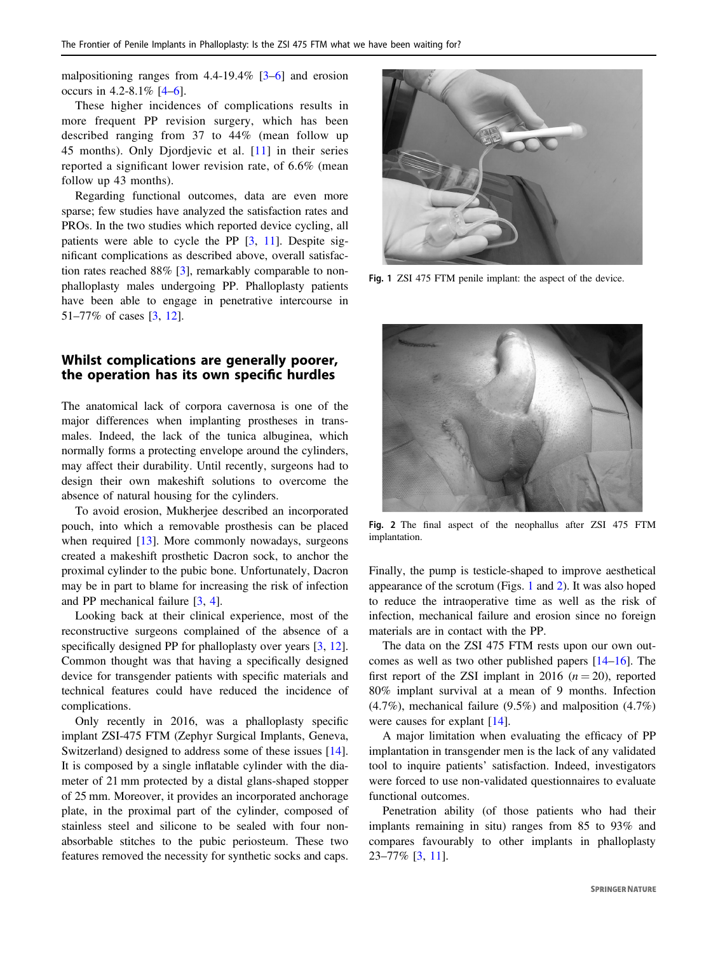malpositioning ranges from  $4.4$ -19.4%  $[3-6]$  $[3-6]$  $[3-6]$  $[3-6]$  and erosion occurs in 4.2-8.1% [\[4](#page-4-0)–[6](#page-4-0)].

These higher incidences of complications results in more frequent PP revision surgery, which has been described ranging from 37 to 44% (mean follow up 45 months). Only Djordjevic et al. [\[11](#page-4-0)] in their series reported a significant lower revision rate, of 6.6% (mean follow up 43 months).

Regarding functional outcomes, data are even more sparse; few studies have analyzed the satisfaction rates and PROs. In the two studies which reported device cycling, all patients were able to cycle the PP [\[3](#page-3-0), [11\]](#page-4-0). Despite significant complications as described above, overall satisfaction rates reached 88% [\[3](#page-3-0)], remarkably comparable to nonphalloplasty males undergoing PP. Phalloplasty patients have been able to engage in penetrative intercourse in 51–77% of cases [\[3](#page-3-0), [12](#page-4-0)].

## Whilst complications are generally poorer, the operation has its own specific hurdles

The anatomical lack of corpora cavernosa is one of the major differences when implanting prostheses in transmales. Indeed, the lack of the tunica albuginea, which normally forms a protecting envelope around the cylinders, may affect their durability. Until recently, surgeons had to design their own makeshift solutions to overcome the absence of natural housing for the cylinders.

To avoid erosion, Mukherjee described an incorporated pouch, into which a removable prosthesis can be placed when required [\[13](#page-4-0)]. More commonly nowadays, surgeons created a makeshift prosthetic Dacron sock, to anchor the proximal cylinder to the pubic bone. Unfortunately, Dacron may be in part to blame for increasing the risk of infection and PP mechanical failure [\[3](#page-3-0), [4](#page-4-0)].

Looking back at their clinical experience, most of the reconstructive surgeons complained of the absence of a specifically designed PP for phalloplasty over years [\[3](#page-3-0), [12](#page-4-0)]. Common thought was that having a specifically designed device for transgender patients with specific materials and technical features could have reduced the incidence of complications.

Only recently in 2016, was a phalloplasty specific implant ZSI-475 FTM (Zephyr Surgical Implants, Geneva, Switzerland) designed to address some of these issues [\[14](#page-4-0)]. It is composed by a single inflatable cylinder with the diameter of 21 mm protected by a distal glans-shaped stopper of 25 mm. Moreover, it provides an incorporated anchorage plate, in the proximal part of the cylinder, composed of stainless steel and silicone to be sealed with four nonabsorbable stitches to the pubic periosteum. These two features removed the necessity for synthetic socks and caps.



Fig. 1 ZSI 475 FTM penile implant: the aspect of the device.



Fig. 2 The final aspect of the neophallus after ZSI 475 FTM implantation.

Finally, the pump is testicle-shaped to improve aesthetical appearance of the scrotum (Figs. 1 and 2). It was also hoped to reduce the intraoperative time as well as the risk of infection, mechanical failure and erosion since no foreign materials are in contact with the PP.

The data on the ZSI 475 FTM rests upon our own outcomes as well as two other published papers [[14](#page-4-0)–[16\]](#page-4-0). The first report of the ZSI implant in 2016  $(n = 20)$ , reported 80% implant survival at a mean of 9 months. Infection (4.7%), mechanical failure (9.5%) and malposition (4.7%) were causes for explant [\[14](#page-4-0)].

A major limitation when evaluating the efficacy of PP implantation in transgender men is the lack of any validated tool to inquire patients' satisfaction. Indeed, investigators were forced to use non-validated questionnaires to evaluate functional outcomes.

Penetration ability (of those patients who had their implants remaining in situ) ranges from 85 to 93% and compares favourably to other implants in phalloplasty 23–77% [[3,](#page-3-0) [11\]](#page-4-0).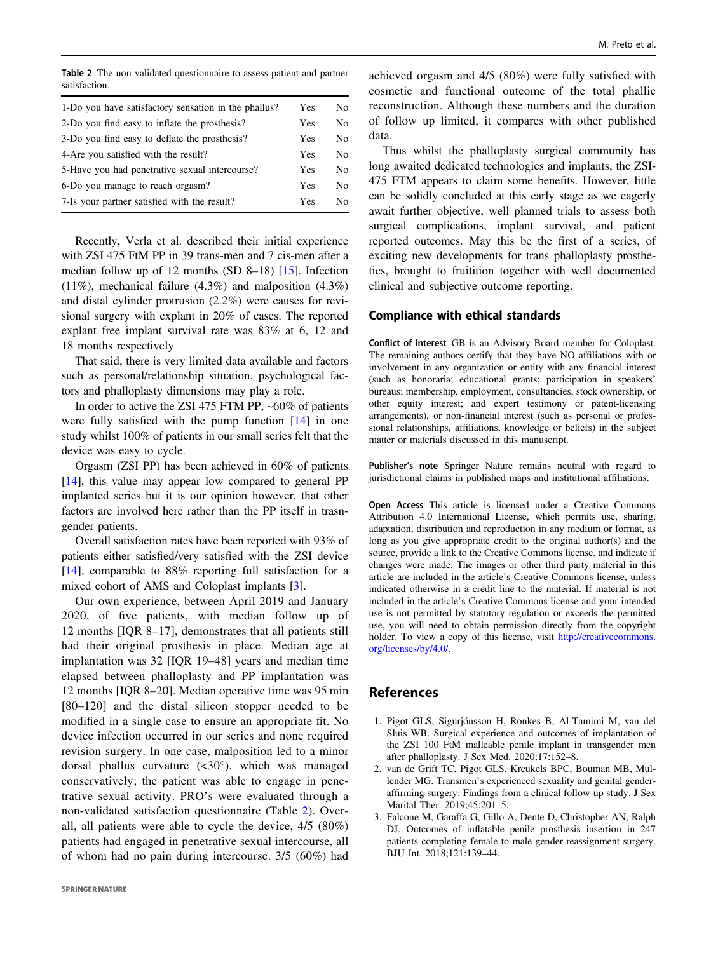<span id="page-3-0"></span>Table 2 The non validated questionnaire to assess patient and partner satisfaction.

| 1-Do you have satisfactory sensation in the phallus? | Yes        | No.            |
|------------------------------------------------------|------------|----------------|
| 2-Do you find easy to inflate the prosthesis?        | Yes        | No.            |
| 3-Do you find easy to deflate the prosthesis?        | Yes        | N <sub>0</sub> |
| 4-Are you satisfied with the result?                 | Yes        | N <sub>0</sub> |
| 5-Have you had penetrative sexual intercourse?       | <b>Yes</b> | N <sub>0</sub> |
| 6-Do you manage to reach orgasm?                     | <b>Yes</b> | N <sub>0</sub> |
| 7-Is your partner satisfied with the result?         | Yes        | No.            |

Recently, Verla et al. described their initial experience with ZSI 475 FtM PP in 39 trans-men and 7 cis-men after a median follow up of 12 months (SD 8–18) [\[15](#page-4-0)]. Infection (11%), mechanical failure (4.3%) and malposition (4.3%) and distal cylinder protrusion (2.2%) were causes for revisional surgery with explant in 20% of cases. The reported explant free implant survival rate was 83% at 6, 12 and 18 months respectively

That said, there is very limited data available and factors such as personal/relationship situation, psychological factors and phalloplasty dimensions may play a role.

In order to active the ZSI 475 FTM PP, ~60% of patients were fully satisfied with the pump function [\[14](#page-4-0)] in one study whilst 100% of patients in our small series felt that the device was easy to cycle.

Orgasm (ZSI PP) has been achieved in 60% of patients [\[14](#page-4-0)], this value may appear low compared to general PP implanted series but it is our opinion however, that other factors are involved here rather than the PP itself in trasngender patients.

Overall satisfaction rates have been reported with 93% of patients either satisfied/very satisfied with the ZSI device [\[14](#page-4-0)], comparable to 88% reporting full satisfaction for a mixed cohort of AMS and Coloplast implants [3].

Our own experience, between April 2019 and January 2020, of five patients, with median follow up of 12 months [IQR 8–17], demonstrates that all patients still had their original prosthesis in place. Median age at implantation was 32 [IQR 19–48] years and median time elapsed between phalloplasty and PP implantation was 12 months [IQR 8–20]. Median operative time was 95 min [80–120] and the distal silicon stopper needed to be modified in a single case to ensure an appropriate fit. No device infection occurred in our series and none required revision surgery. In one case, malposition led to a minor dorsal phallus curvature  $( $30^{\circ}$ ), which was managed$ conservatively; the patient was able to engage in penetrative sexual activity. PRO's were evaluated through a non-validated satisfaction questionnaire (Table 2). Overall, all patients were able to cycle the device, 4/5 (80%) patients had engaged in penetrative sexual intercourse, all of whom had no pain during intercourse. 3/5 (60%) had

achieved orgasm and 4/5 (80%) were fully satisfied with cosmetic and functional outcome of the total phallic reconstruction. Although these numbers and the duration of follow up limited, it compares with other published data.

Thus whilst the phalloplasty surgical community has long awaited dedicated technologies and implants, the ZSI-475 FTM appears to claim some benefits. However, little can be solidly concluded at this early stage as we eagerly await further objective, well planned trials to assess both surgical complications, implant survival, and patient reported outcomes. May this be the first of a series, of exciting new developments for trans phalloplasty prosthetics, brought to fruitition together with well documented clinical and subjective outcome reporting.

## Compliance with ethical standards

Conflict of interest GB is an Advisory Board member for Coloplast. The remaining authors certify that they have NO affiliations with or involvement in any organization or entity with any financial interest (such as honoraria; educational grants; participation in speakers' bureaus; membership, employment, consultancies, stock ownership, or other equity interest; and expert testimony or patent-licensing arrangements), or non-financial interest (such as personal or professional relationships, affiliations, knowledge or beliefs) in the subject matter or materials discussed in this manuscript.

Publisher's note Springer Nature remains neutral with regard to jurisdictional claims in published maps and institutional affiliations.

Open Access This article is licensed under a Creative Commons Attribution 4.0 International License, which permits use, sharing, adaptation, distribution and reproduction in any medium or format, as long as you give appropriate credit to the original author(s) and the source, provide a link to the Creative Commons license, and indicate if changes were made. The images or other third party material in this article are included in the article's Creative Commons license, unless indicated otherwise in a credit line to the material. If material is not included in the article's Creative Commons license and your intended use is not permitted by statutory regulation or exceeds the permitted use, you will need to obtain permission directly from the copyright holder. To view a copy of this license, visit [http://creativecommons.](http://creativecommons.org/licenses/by/4.0/) [org/licenses/by/4.0/](http://creativecommons.org/licenses/by/4.0/).

## References

- 1. Pigot GLS, Sigurjónsson H, Ronkes B, Al-Tamimi M, van del Sluis WB. Surgical experience and outcomes of implantation of the ZSI 100 FtM malleable penile implant in transgender men after phalloplasty. J Sex Med. 2020;17:152–8.
- 2. van de Grift TC, Pigot GLS, Kreukels BPC, Bouman MB, Mullender MG. Transmen's experienced sexuality and genital genderaffirming surgery: Findings from a clinical follow-up study. J Sex Marital Ther. 2019;45:201–5.
- 3. Falcone M, Garaffa G, Gillo A, Dente D, Christopher AN, Ralph DJ. Outcomes of inflatable penile prosthesis insertion in 247 patients completing female to male gender reassignment surgery. BJU Int. 2018;121:139–44.